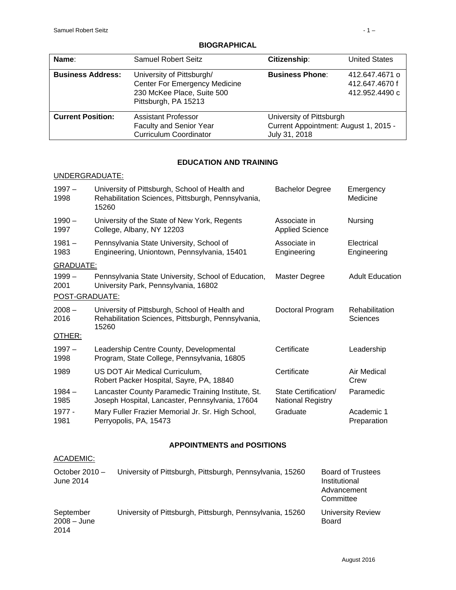| Name:                    | <b>Samuel Robert Seitz</b>                                                                                       | Citizenship:                                                                       | <b>United States</b> |
|--------------------------|------------------------------------------------------------------------------------------------------------------|------------------------------------------------------------------------------------|----------------------|
| <b>Business Address:</b> | University of Pittsburgh/<br>Center For Emergency Medicine<br>230 McKee Place, Suite 500<br>Pittsburgh, PA 15213 | <b>Business Phone:</b><br>412.647.4671 o<br>412.647.4670f<br>412.952.4490 c        |                      |
| <b>Current Position:</b> | Assistant Professor<br>Faculty and Senior Year<br><b>Curriculum Coordinator</b>                                  | University of Pittsburgh<br>Current Appointment: August 1, 2015 -<br>July 31, 2018 |                      |

## **BIOGRAPHICAL**

# **EDUCATION AND TRAINING**

# UNDERGRADUATE:

| $1997 -$<br>1998 | University of Pittsburgh, School of Health and<br>Rehabilitation Sciences, Pittsburgh, Pennsylvania,<br>15260 | <b>Bachelor Degree</b>                    | Emergency<br>Medicine             |
|------------------|---------------------------------------------------------------------------------------------------------------|-------------------------------------------|-----------------------------------|
| $1990 -$<br>1997 | University of the State of New York, Regents<br>College, Albany, NY 12203                                     | Associate in<br><b>Applied Science</b>    | Nursing                           |
| $1981 -$<br>1983 | Pennsylvania State University, School of<br>Engineering, Uniontown, Pennsylvania, 15401                       | Associate in<br>Engineering               | Electrical<br>Engineering         |
| <b>GRADUATE:</b> |                                                                                                               |                                           |                                   |
| $1999 -$<br>2001 | Pennsylvania State University, School of Education,<br>University Park, Pennsylvania, 16802                   | Master Degree                             | <b>Adult Education</b>            |
| POST-GRADUATE:   |                                                                                                               |                                           |                                   |
| $2008 -$<br>2016 | University of Pittsburgh, School of Health and<br>Rehabilitation Sciences, Pittsburgh, Pennsylvania,<br>15260 | Doctoral Program                          | Rehabilitation<br><b>Sciences</b> |
| OTHER:           |                                                                                                               |                                           |                                   |
| $1997 -$<br>1998 | Leadership Centre County, Developmental<br>Program, State College, Pennsylvania, 16805                        | Certificate                               | Leadership                        |
| 1989             | US DOT Air Medical Curriculum,<br>Robert Packer Hospital, Sayre, PA, 18840                                    | Certificate                               | Air Medical<br>Crew               |
| $1984 -$<br>1985 | Lancaster County Paramedic Training Institute, St.<br>Joseph Hospital, Lancaster, Pennsylvania, 17604         | State Certification/<br>National Registry | Paramedic                         |
| 1977 -<br>1981   | Mary Fuller Frazier Memorial Jr. Sr. High School,<br>Perryopolis, PA, 15473                                   | Graduate                                  | Academic 1<br>Preparation         |

### **APPOINTMENTS and POSITIONS**

# ACADEMIC:

| October $2010 -$<br>June 2014      | University of Pittsburgh, Pittsburgh, Pennsylvania, 15260 | <b>Board of Trustees</b><br>Institutional<br>Advancement<br>Committee |
|------------------------------------|-----------------------------------------------------------|-----------------------------------------------------------------------|
| September<br>$2008 - June$<br>2014 | University of Pittsburgh, Pittsburgh, Pennsylvania, 15260 | University Review<br>Board                                            |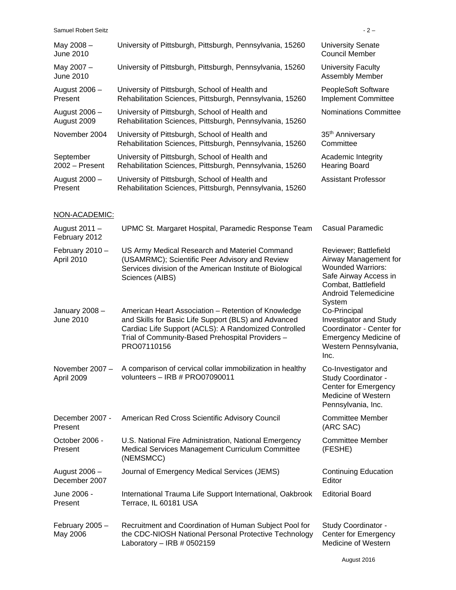| <b>Samuel Robert Seitz</b>     |                                                                                                                                                                                                                                        | $-2-$                                                                                                                                                               |
|--------------------------------|----------------------------------------------------------------------------------------------------------------------------------------------------------------------------------------------------------------------------------------|---------------------------------------------------------------------------------------------------------------------------------------------------------------------|
| May 2008 -<br>June 2010        | University of Pittsburgh, Pittsburgh, Pennsylvania, 15260                                                                                                                                                                              | <b>University Senate</b><br><b>Council Member</b>                                                                                                                   |
| May 2007 -<br><b>June 2010</b> | University of Pittsburgh, Pittsburgh, Pennsylvania, 15260                                                                                                                                                                              | University Faculty<br>Assembly Member                                                                                                                               |
| August 2006 -<br>Present       | University of Pittsburgh, School of Health and<br>Rehabilitation Sciences, Pittsburgh, Pennsylvania, 15260                                                                                                                             | PeopleSoft Software<br><b>Implement Committee</b>                                                                                                                   |
| August 2006 -<br>August 2009   | University of Pittsburgh, School of Health and<br>Rehabilitation Sciences, Pittsburgh, Pennsylvania, 15260                                                                                                                             | Nominations Committee                                                                                                                                               |
| November 2004                  | University of Pittsburgh, School of Health and<br>Rehabilitation Sciences, Pittsburgh, Pennsylvania, 15260                                                                                                                             | 35 <sup>th</sup> Anniversary<br>Committee                                                                                                                           |
| September<br>$2002 -$ Present  | University of Pittsburgh, School of Health and<br>Rehabilitation Sciences, Pittsburgh, Pennsylvania, 15260                                                                                                                             | Academic Integrity<br><b>Hearing Board</b>                                                                                                                          |
| August 2000 -<br>Present       | University of Pittsburgh, School of Health and<br>Rehabilitation Sciences, Pittsburgh, Pennsylvania, 15260                                                                                                                             | <b>Assistant Professor</b>                                                                                                                                          |
| NON-ACADEMIC:                  |                                                                                                                                                                                                                                        |                                                                                                                                                                     |
| August 2011 -<br>February 2012 | UPMC St. Margaret Hospital, Paramedic Response Team                                                                                                                                                                                    | <b>Casual Paramedic</b>                                                                                                                                             |
| February 2010 -<br>April 2010  | US Army Medical Research and Materiel Command<br>(USAMRMC); Scientific Peer Advisory and Review<br>Services division of the American Institute of Biological<br>Sciences (AIBS)                                                        | Reviewer; Battlefield<br>Airway Management for<br><b>Wounded Warriors:</b><br>Safe Airway Access in<br>Combat, Battlefield<br><b>Android Telemedicine</b><br>System |
| January 2008-<br>June 2010     | American Heart Association - Retention of Knowledge<br>and Skills for Basic Life Support (BLS) and Advanced<br>Cardiac Life Support (ACLS): A Randomized Controlled<br>Trial of Community-Based Prehospital Providers -<br>PRO07110156 | Co-Principal<br><b>Investigator and Study</b><br>Coordinator - Center for<br><b>Emergency Medicine of</b><br>Western Pennsylvania,<br>Inc.                          |
| November 2007 -<br>April 2009  | A comparison of cervical collar immobilization in healthy<br>volunteers - IRB # PRO07090011                                                                                                                                            | Co-Investigator and<br>Study Coordinator -<br><b>Center for Emergency</b><br>Medicine of Western<br>Pennsylvania, Inc.                                              |
| December 2007 -<br>Present     | American Red Cross Scientific Advisory Council                                                                                                                                                                                         | <b>Committee Member</b><br>(ARC SAC)                                                                                                                                |
| October 2006 -<br>Present      | U.S. National Fire Administration, National Emergency<br>Medical Services Management Curriculum Committee<br>(NEMSMCC)                                                                                                                 | <b>Committee Member</b><br>(FESHE)                                                                                                                                  |
| August 2006 -<br>December 2007 | Journal of Emergency Medical Services (JEMS)                                                                                                                                                                                           | <b>Continuing Education</b><br>Editor                                                                                                                               |
| June 2006 -<br>Present         | International Trauma Life Support International, Oakbrook<br>Terrace, IL 60181 USA                                                                                                                                                     | <b>Editorial Board</b>                                                                                                                                              |
| February 2005 -<br>May 2006    | Recruitment and Coordination of Human Subject Pool for<br>the CDC-NIOSH National Personal Protective Technology<br>Laboratory - IRB $#0502159$                                                                                         | Study Coordinator -<br><b>Center for Emergency</b><br>Medicine of Western                                                                                           |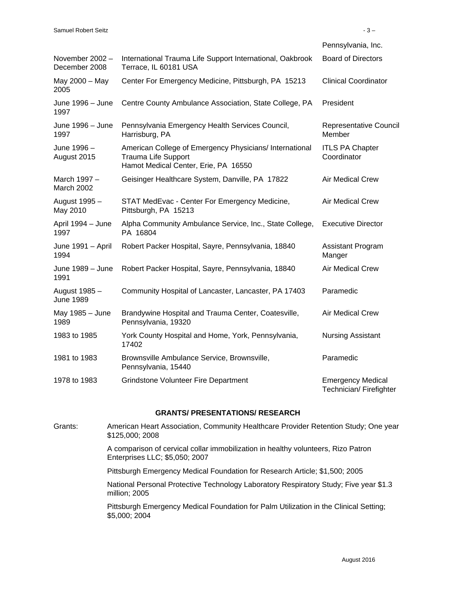|                                  |                                                                                                                               | Pennsylvania, Inc.                                  |
|----------------------------------|-------------------------------------------------------------------------------------------------------------------------------|-----------------------------------------------------|
| November 2002 -<br>December 2008 | International Trauma Life Support International, Oakbrook<br>Terrace, IL 60181 USA                                            | <b>Board of Directors</b>                           |
| May 2000 - May<br>2005           | Center For Emergency Medicine, Pittsburgh, PA 15213                                                                           | <b>Clinical Coordinator</b>                         |
| June 1996 - June<br>1997         | Centre County Ambulance Association, State College, PA                                                                        | President                                           |
| June 1996 - June<br>1997         | Pennsylvania Emergency Health Services Council,<br>Harrisburg, PA                                                             | Representative Council<br>Member                    |
| June 1996 -<br>August 2015       | American College of Emergency Physicians/ International<br><b>Trauma Life Support</b><br>Hamot Medical Center, Erie, PA 16550 | <b>ITLS PA Chapter</b><br>Coordinator               |
| March 1997 -<br>March 2002       | Geisinger Healthcare System, Danville, PA 17822                                                                               | <b>Air Medical Crew</b>                             |
| August 1995 -<br>May 2010        | STAT MedEvac - Center For Emergency Medicine,<br>Pittsburgh, PA 15213                                                         | <b>Air Medical Crew</b>                             |
| April 1994 - June<br>1997        | Alpha Community Ambulance Service, Inc., State College,<br>PA 16804                                                           | <b>Executive Director</b>                           |
| June 1991 - April<br>1994        | Robert Packer Hospital, Sayre, Pennsylvania, 18840                                                                            | <b>Assistant Program</b><br>Manger                  |
| June 1989 - June<br>1991         | Robert Packer Hospital, Sayre, Pennsylvania, 18840                                                                            | <b>Air Medical Crew</b>                             |
| August 1985 -<br>June 1989       | Community Hospital of Lancaster, Lancaster, PA 17403                                                                          | Paramedic                                           |
| May 1985 - June<br>1989          | Brandywine Hospital and Trauma Center, Coatesville,<br>Pennsylvania, 19320                                                    | Air Medical Crew                                    |
| 1983 to 1985                     | York County Hospital and Home, York, Pennsylvania,<br>17402                                                                   | <b>Nursing Assistant</b>                            |
| 1981 to 1983                     | Brownsville Ambulance Service, Brownsville,<br>Pennsylvania, 15440                                                            | Paramedic                                           |
| 1978 to 1983                     | <b>Grindstone Volunteer Fire Department</b>                                                                                   | <b>Emergency Medical</b><br>Technician/ Firefighter |

#### **GRANTS/ PRESENTATIONS/ RESEARCH**

Grants: American Heart Association, Community Healthcare Provider Retention Study; One year \$125,000; 2008 A comparison of cervical collar immobilization in healthy volunteers, Rizo Patron Enterprises LLC; \$5,050; 2007 Pittsburgh Emergency Medical Foundation for Research Article; \$1,500; 2005 National Personal Protective Technology Laboratory Respiratory Study; Five year \$1.3 million; 2005 Pittsburgh Emergency Medical Foundation for Palm Utilization in the Clinical Setting; \$5,000; 2004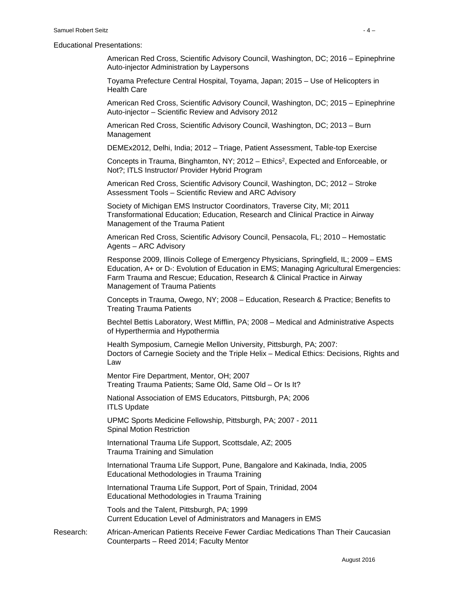#### Educational Presentations:

American Red Cross, Scientific Advisory Council, Washington, DC; 2016 – Epinephrine Auto-injector Administration by Laypersons

Toyama Prefecture Central Hospital, Toyama, Japan; 2015 – Use of Helicopters in Health Care

American Red Cross, Scientific Advisory Council, Washington, DC; 2015 – Epinephrine Auto-injector – Scientific Review and Advisory 2012

American Red Cross, Scientific Advisory Council, Washington, DC; 2013 – Burn Management

DEMEx2012, Delhi, India; 2012 – Triage, Patient Assessment, Table-top Exercise

Concepts in Trauma, Binghamton, NY;  $2012 -$  Ethics<sup>2</sup>, Expected and Enforceable, or Not?; ITLS Instructor/ Provider Hybrid Program

American Red Cross, Scientific Advisory Council, Washington, DC; 2012 – Stroke Assessment Tools – Scientific Review and ARC Advisory

Society of Michigan EMS Instructor Coordinators, Traverse City, MI; 2011 Transformational Education; Education, Research and Clinical Practice in Airway Management of the Trauma Patient

American Red Cross, Scientific Advisory Council, Pensacola, FL; 2010 – Hemostatic Agents – ARC Advisory

Response 2009, Illinois College of Emergency Physicians, Springfield, IL; 2009 – EMS Education, A+ or D-: Evolution of Education in EMS; Managing Agricultural Emergencies: Farm Trauma and Rescue; Education, Research & Clinical Practice in Airway Management of Trauma Patients

Concepts in Trauma, Owego, NY; 2008 – Education, Research & Practice; Benefits to Treating Trauma Patients

Bechtel Bettis Laboratory, West Mifflin, PA; 2008 – Medical and Administrative Aspects of Hyperthermia and Hypothermia

Health Symposium, Carnegie Mellon University, Pittsburgh, PA; 2007: Doctors of Carnegie Society and the Triple Helix – Medical Ethics: Decisions, Rights and Law

Mentor Fire Department, Mentor, OH; 2007 Treating Trauma Patients; Same Old, Same Old – Or Is It?

National Association of EMS Educators, Pittsburgh, PA; 2006 ITLS Update

UPMC Sports Medicine Fellowship, Pittsburgh, PA; 2007 - 2011 Spinal Motion Restriction

International Trauma Life Support, Scottsdale, AZ; 2005 Trauma Training and Simulation

International Trauma Life Support, Pune, Bangalore and Kakinada, India, 2005 Educational Methodologies in Trauma Training

International Trauma Life Support, Port of Spain, Trinidad, 2004 Educational Methodologies in Trauma Training

Tools and the Talent, Pittsburgh, PA; 1999 Current Education Level of Administrators and Managers in EMS

Research: African-American Patients Receive Fewer Cardiac Medications Than Their Caucasian Counterparts – Reed 2014; Faculty Mentor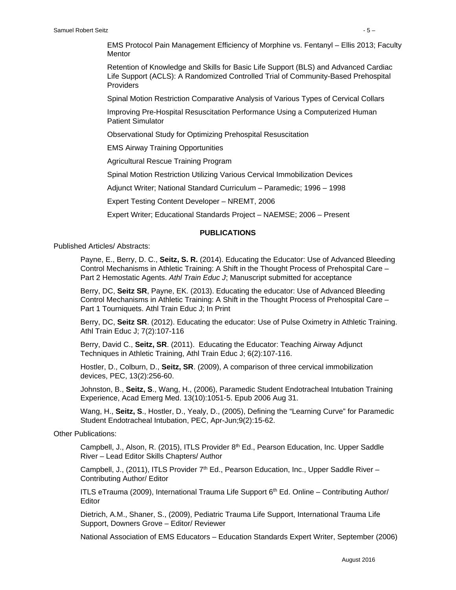EMS Protocol Pain Management Efficiency of Morphine vs. Fentanyl – Ellis 2013; Faculty **Mentor** 

Retention of Knowledge and Skills for Basic Life Support (BLS) and Advanced Cardiac Life Support (ACLS): A Randomized Controlled Trial of Community-Based Prehospital **Providers** 

Spinal Motion Restriction Comparative Analysis of Various Types of Cervical Collars

Improving Pre-Hospital Resuscitation Performance Using a Computerized Human Patient Simulator

Observational Study for Optimizing Prehospital Resuscitation

EMS Airway Training Opportunities

Agricultural Rescue Training Program

Spinal Motion Restriction Utilizing Various Cervical Immobilization Devices

Adjunct Writer; National Standard Curriculum – Paramedic; 1996 – 1998

Expert Testing Content Developer – NREMT, 2006

Expert Writer; Educational Standards Project – NAEMSE; 2006 – Present

#### **PUBLICATIONS**

Published Articles/ Abstracts:

Payne, E., Berry, D. C., **Seitz, S. R.** (2014). Educating the Educator: Use of Advanced Bleeding Control Mechanisms in Athletic Training: A Shift in the Thought Process of Prehospital Care – Part 2 Hemostatic Agents. *Athl Train Educ J*; Manuscript submitted for acceptance

Berry, DC, **Seitz SR**, Payne, EK. (2013). Educating the educator: Use of Advanced Bleeding Control Mechanisms in Athletic Training: A Shift in the Thought Process of Prehospital Care – Part 1 Tourniquets. Athl Train Educ J; In Print

Berry, DC, **Seitz SR**. (2012). Educating the educator: Use of Pulse Oximetry in Athletic Training. Athl Train Educ J; 7(2):107-116

Berry, David C., **Seitz, SR**. (2011). Educating the Educator: Teaching Airway Adjunct Techniques in Athletic Training, Athl Train Educ J; 6(2):107-116.

Hostler, D., Colburn, D., **Seitz, SR**. (2009), A comparison of three cervical immobilization devices, PEC, 13(2):256-60.

Johnston, B., **Seitz, S**., Wang, H., (2006), Paramedic Student Endotracheal Intubation Training Experience, Acad Emerg Med. 13(10):1051-5. Epub 2006 Aug 31.

Wang, H., **Seitz, S**., Hostler, D., Yealy, D., (2005), Defining the "Learning Curve" for Paramedic Student Endotracheal Intubation, PEC, Apr-Jun;9(2):15-62.

Other Publications:

Campbell, J., Alson, R. (2015), ITLS Provider  $8<sup>th</sup>$  Ed., Pearson Education, Inc. Upper Saddle River – Lead Editor Skills Chapters/ Author

Campbell, J., (2011), ITLS Provider  $7<sup>th</sup>$  Ed., Pearson Education, Inc., Upper Saddle River – Contributing Author/ Editor

ITLS eTrauma (2009), International Trauma Life Support  $6<sup>th</sup>$  Ed. Online – Contributing Author/ **Editor** 

Dietrich, A.M., Shaner, S., (2009), Pediatric Trauma Life Support, International Trauma Life Support, Downers Grove – Editor/ Reviewer

National Association of EMS Educators – Education Standards Expert Writer, September (2006)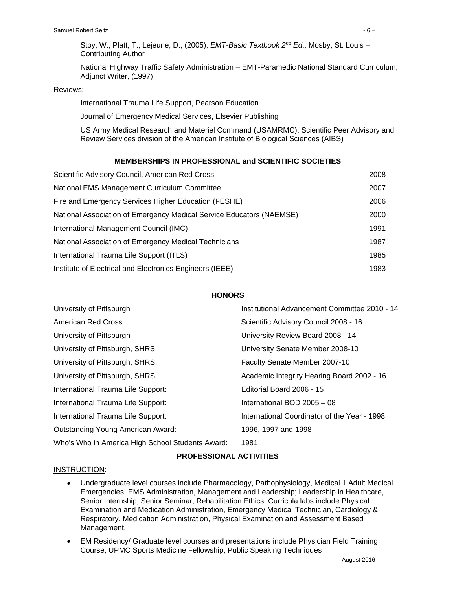Stoy, W., Platt, T., Lejeune, D., (2005), *EMT-Basic Textbook 2nd Ed*., Mosby, St. Louis – Contributing Author

National Highway Traffic Safety Administration – EMT-Paramedic National Standard Curriculum, Adjunct Writer, (1997)

#### Reviews:

International Trauma Life Support, Pearson Education

Journal of Emergency Medical Services, Elsevier Publishing

US Army Medical Research and Materiel Command (USAMRMC); Scientific Peer Advisory and Review Services division of the American Institute of Biological Sciences (AIBS)

#### **MEMBERSHIPS IN PROFESSIONAL and SCIENTIFIC SOCIETIES**

| Scientific Advisory Council, American Red Cross                      | 2008 |
|----------------------------------------------------------------------|------|
| National EMS Management Curriculum Committee                         | 2007 |
| Fire and Emergency Services Higher Education (FESHE)                 | 2006 |
| National Association of Emergency Medical Service Educators (NAEMSE) | 2000 |
| International Management Council (IMC)                               | 1991 |
| National Association of Emergency Medical Technicians                | 1987 |
| International Trauma Life Support (ITLS)                             | 1985 |
| Institute of Electrical and Electronics Engineers (IEEE)             | 1983 |

#### **HONORS**

| University of Pittsburgh                         | Institutional Advancement Committee 2010 - 14 |
|--------------------------------------------------|-----------------------------------------------|
| <b>American Red Cross</b>                        | Scientific Advisory Council 2008 - 16         |
| University of Pittsburgh                         | University Review Board 2008 - 14             |
| University of Pittsburgh, SHRS:                  | University Senate Member 2008-10              |
| University of Pittsburgh, SHRS:                  | Faculty Senate Member 2007-10                 |
| University of Pittsburgh, SHRS:                  | Academic Integrity Hearing Board 2002 - 16    |
| International Trauma Life Support:               | Editorial Board 2006 - 15                     |
| International Trauma Life Support:               | International BOD 2005 - 08                   |
| International Trauma Life Support:               | International Coordinator of the Year - 1998  |
| <b>Outstanding Young American Award:</b>         | 1996, 1997 and 1998                           |
| Who's Who in America High School Students Award: | 1981                                          |

#### **PROFESSIONAL ACTIVITIES**

#### INSTRUCTION:

- Undergraduate level courses include Pharmacology, Pathophysiology, Medical 1 Adult Medical Emergencies, EMS Administration, Management and Leadership; Leadership in Healthcare, Senior Internship, Senior Seminar, Rehabilitation Ethics; Curricula labs include Physical Examination and Medication Administration, Emergency Medical Technician, Cardiology & Respiratory, Medication Administration, Physical Examination and Assessment Based Management.
- EM Residency/ Graduate level courses and presentations include Physician Field Training Course, UPMC Sports Medicine Fellowship, Public Speaking Techniques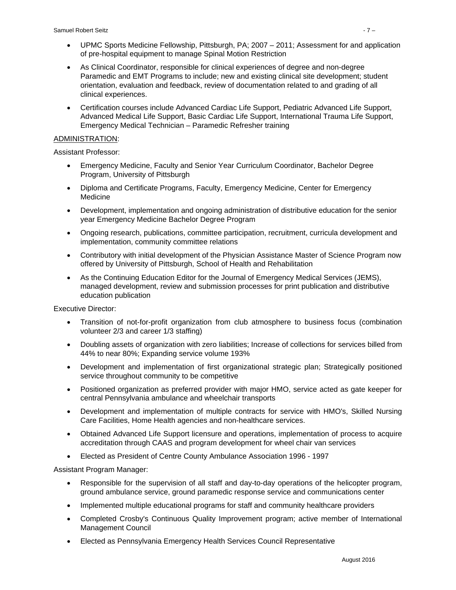- UPMC Sports Medicine Fellowship, Pittsburgh, PA; 2007 2011; Assessment for and application of pre-hospital equipment to manage Spinal Motion Restriction
- As Clinical Coordinator, responsible for clinical experiences of degree and non-degree Paramedic and EMT Programs to include; new and existing clinical site development; student orientation, evaluation and feedback, review of documentation related to and grading of all clinical experiences.
- Certification courses include Advanced Cardiac Life Support, Pediatric Advanced Life Support, Advanced Medical Life Support, Basic Cardiac Life Support, International Trauma Life Support, Emergency Medical Technician – Paramedic Refresher training

#### ADMINISTRATION:

Assistant Professor:

- Emergency Medicine, Faculty and Senior Year Curriculum Coordinator, Bachelor Degree Program, University of Pittsburgh
- Diploma and Certificate Programs, Faculty, Emergency Medicine, Center for Emergency Medicine
- Development, implementation and ongoing administration of distributive education for the senior year Emergency Medicine Bachelor Degree Program
- Ongoing research, publications, committee participation, recruitment, curricula development and implementation, community committee relations
- Contributory with initial development of the Physician Assistance Master of Science Program now offered by University of Pittsburgh, School of Health and Rehabilitation
- As the Continuing Education Editor for the Journal of Emergency Medical Services (JEMS), managed development, review and submission processes for print publication and distributive education publication

Executive Director:

- Transition of not-for-profit organization from club atmosphere to business focus (combination volunteer 2/3 and career 1/3 staffing)
- Doubling assets of organization with zero liabilities; Increase of collections for services billed from 44% to near 80%; Expanding service volume 193%
- Development and implementation of first organizational strategic plan; Strategically positioned service throughout community to be competitive
- Positioned organization as preferred provider with major HMO, service acted as gate keeper for central Pennsylvania ambulance and wheelchair transports
- Development and implementation of multiple contracts for service with HMO's, Skilled Nursing Care Facilities, Home Health agencies and non-healthcare services.
- Obtained Advanced Life Support licensure and operations, implementation of process to acquire accreditation through CAAS and program development for wheel chair van services
- Elected as President of Centre County Ambulance Association 1996 1997

Assistant Program Manager:

- Responsible for the supervision of all staff and day-to-day operations of the helicopter program, ground ambulance service, ground paramedic response service and communications center
- Implemented multiple educational programs for staff and community healthcare providers
- Completed Crosby's Continuous Quality Improvement program; active member of International Management Council
- Elected as Pennsylvania Emergency Health Services Council Representative